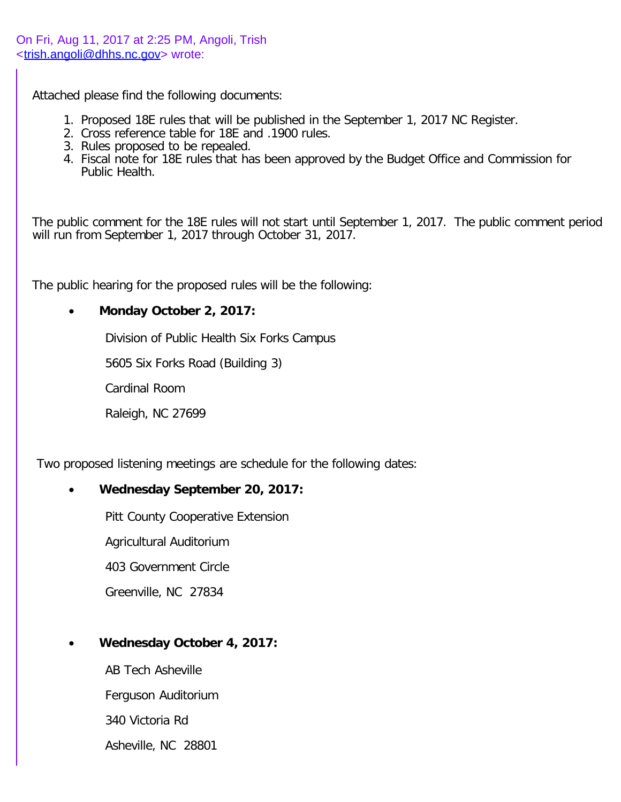Attached please find the following documents:

- 1. Proposed 18E rules that will be published in the September 1, 2017 NC Register.
- 2. Cross reference table for 18E and .1900 rules.
- 3. Rules proposed to be repealed.
- 4. Fiscal note for 18E rules that has been approved by the Budget Office and Commission for Public Health.

The public comment for the 18E rules will not start until September 1, 2017. The public comment period will run from September 1, 2017 through October 31, 2017.

The public hearing for the proposed rules will be the following:

## · **Monday October 2, 2017:**

Division of Public Health Six Forks Campus

5605 Six Forks Road (Building 3)

Cardinal Room

Raleigh, NC 27699

Two proposed listening meetings are schedule for the following dates:

## · **Wednesday September 20, 2017:**

Pitt County Cooperative Extension

Agricultural Auditorium

403 Government Circle

Greenville, NC 27834

· **Wednesday October 4, 2017:**

AB Tech Asheville Ferguson Auditorium 340 Victoria Rd Asheville, NC 28801